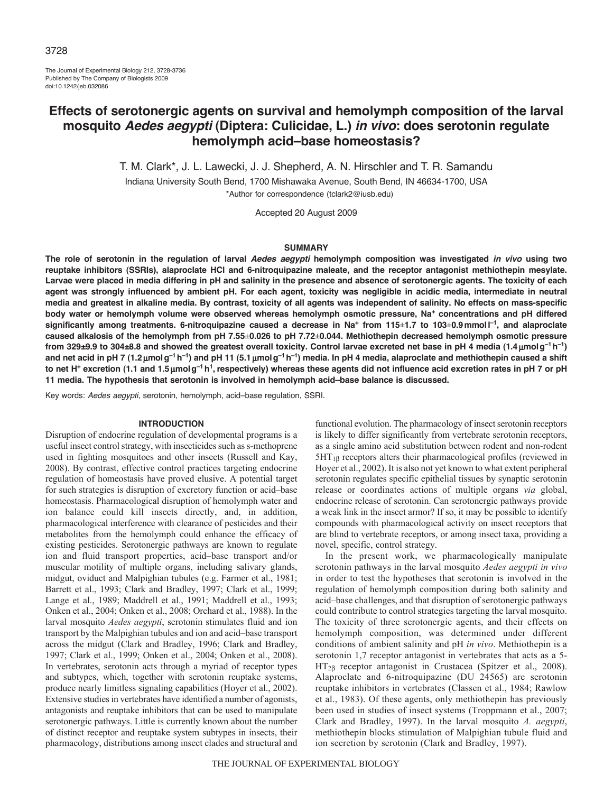The Journal of Experimental Biology 212, 3728-3736 Published by The Company of Biologists 2009 doi:10.1242/jeb.032086

# **Effects of serotonergic agents on survival and hemolymph composition of the larval mosquito** *Aedes aegypti* **(Diptera: Culicidae, L.)** *in vivo***: does serotonin regulate hemolymph acid–base homeostasis?**

T. M. Clark\*, J. L. Lawecki, J. J. Shepherd, A. N. Hirschler and T. R. Samandu

Indiana University South Bend, 1700 Mishawaka Avenue, South Bend, IN 46634-1700, USA

\*Author for correspondence (tclark2@iusb.edu)

Accepted 20 August 2009

#### **SUMMARY**

**The role of serotonin in the regulation of larval** *Aedes aegypti* **hemolymph composition was investigated** *in vivo* **using two reuptake inhibitors (SSRIs), alaproclate HCl and 6-nitroquipazine maleate, and the receptor antagonist methiothepin mesylate. Larvae were placed in media differing in pH and salinity in the presence and absence of serotonergic agents. The toxicity of each agent was strongly influenced by ambient pH. For each agent, toxicity was negligible in acidic media, intermediate in neutral media and greatest in alkaline media. By contrast, toxicity of all agents was independent of salinity. No effects on mass-specific body water or hemolymph volume were observed whereas hemolymph osmotic pressure, Na+ concentrations and pH differed significantly among treatments. 6-nitroquipazine caused a decrease in Na+ from 115±1.7 to 103±0.9mmoll –1, and alaproclate caused alkalosis of the hemolymph from pH 7.55±0.026 to pH 7.72±0.044. Methiothepin decreased hemolymph osmotic pressure from 329±9.9 to 304±8.8 and showed the greatest overall toxicity. Control larvae excreted net base in pH 4 media (1.4**m**molg–1h–1)** and net acid in pH 7 (1.2 µmolg<sup>-1</sup>h<sup>-1</sup>) and pH 11 (5.1 µmolg<sup>-1</sup>h<sup>-1</sup>) media. In pH 4 media, alaproclate and methiothepin caused a shift **to net H+ excretion (1.1 and 1.5**m**molg–1h1, respectively) whereas these agents did not influence acid excretion rates in pH 7 or pH 11 media. The hypothesis that serotonin is involved in hemolymph acid–base balance is discussed.**

Key words: *Aedes aegypti*, serotonin, hemolymph, acid–base regulation, SSRI.

# **INTRODUCTION**

Disruption of endocrine regulation of developmental programs is a useful insect control strategy, with insecticides such as s-methoprene used in fighting mosquitoes and other insects (Russell and Kay, 2008). By contrast, effective control practices targeting endocrine regulation of homeostasis have proved elusive. A potential target for such strategies is disruption of excretory function or acid–base homeostasis. Pharmacological disruption of hemolymph water and ion balance could kill insects directly, and, in addition, pharmacological interference with clearance of pesticides and their metabolites from the hemolymph could enhance the efficacy of existing pesticides. Serotonergic pathways are known to regulate ion and fluid transport properties, acid–base transport and/or muscular motility of multiple organs, including salivary glands, midgut, oviduct and Malpighian tubules (e.g. Farmer et al., 1981; Barrett et al., 1993; Clark and Bradley, 1997; Clark et al., 1999; Lange et al., 1989; Maddrell et al., 1991; Maddrell et al., 1993; Onken et al., 2004; Onken et al., 2008; Orchard et al., 1988). In the larval mosquito *Aedes aegypti*, serotonin stimulates fluid and ion transport by the Malpighian tubules and ion and acid–base transport across the midgut (Clark and Bradley, 1996; Clark and Bradley, 1997; Clark et al., 1999; Onken et al., 2004; Onken et al., 2008). In vertebrates, serotonin acts through a myriad of receptor types and subtypes, which, together with serotonin reuptake systems, produce nearly limitless signaling capabilities (Hoyer et al., 2002). Extensive studies in vertebrates have identified a number of agonists, antagonists and reuptake inhibitors that can be used to manipulate serotonergic pathways. Little is currently known about the number of distinct receptor and reuptake system subtypes in insects, their pharmacology, distributions among insect clades and structural and

functional evolution. The pharmacology of insect serotonin receptors is likely to differ significantly from vertebrate serotonin receptors, as a single amino acid substitution between rodent and non-rodent  $5HT_{1B}$  receptors alters their pharmacological profiles (reviewed in Hoyer et al., 2002). It is also not yet known to what extent peripheral serotonin regulates specific epithelial tissues by synaptic serotonin release or coordinates actions of multiple organs *via* global, endocrine release of serotonin. Can serotonergic pathways provide a weak link in the insect armor? If so, it may be possible to identify compounds with pharmacological activity on insect receptors that are blind to vertebrate receptors, or among insect taxa, providing a novel, specific, control strategy.

In the present work, we pharmacologically manipulate serotonin pathways in the larval mosquito *Aedes aegypti in vivo* in order to test the hypotheses that serotonin is involved in the regulation of hemolymph composition during both salinity and acid–base challenges, and that disruption of serotonergic pathways could contribute to control strategies targeting the larval mosquito. The toxicity of three serotonergic agents, and their effects on hemolymph composition, was determined under different conditions of ambient salinity and pH *in vivo*. Methiothepin is a serotonin 1,7 receptor antagonist in vertebrates that acts as a 5-  $HT_{2B}$  receptor antagonist in Crustacea (Spitzer et al., 2008). Alaproclate and 6-nitroquipazine (DU 24565) are serotonin reuptake inhibitors in vertebrates (Classen et al., 1984; Rawlow et al., 1983). Of these agents, only methiothepin has previously been used in studies of insect systems (Troppmann et al., 2007; Clark and Bradley, 1997). In the larval mosquito *A. aegypti*, methiothepin blocks stimulation of Malpighian tubule fluid and ion secretion by serotonin (Clark and Bradley, 1997).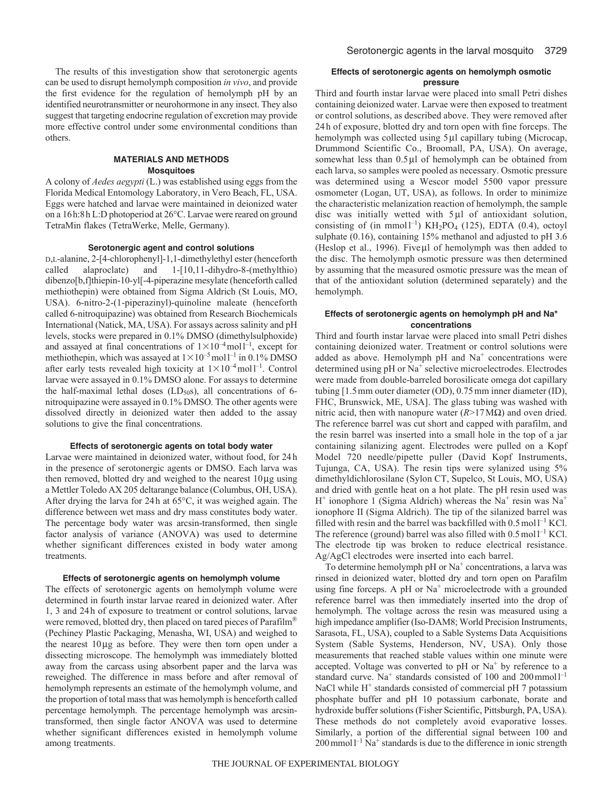The results of this investigation show that serotonergic agents can be used to disrupt hemolymph composition *in vivo*, and provide the first evidence for the regulation of hemolymph pH by an identified neurotransmitter or neurohormone in any insect. They also suggest that targeting endocrine regulation of excretion may provide more effective control under some environmental conditions than others.

### **MATERIALS AND METHODS Mosquitoes**

A colony of *Aedes aegypti* (L.) was established using eggs from the Florida Medical Entomology Laboratory, in Vero Beach, FL, USA. Eggs were hatched and larvae were maintained in deionized water on a 16h:8h L:D photoperiod at 26°C. Larvae were reared on ground TetraMin flakes (TetraWerke, Melle, Germany).

#### **Serotonergic agent and control solutions**

D,L-alanine, 2-[4-chlorophenyl]-1,1-dimethylethyl ester (henceforth called alaproclate) and 1-[10,11-dihydro-8-(methylthio) dibenzo[b,f]thiepin-10-yl[-4-piperazine mesylate (henceforth called methiothepin) were obtained from Sigma Aldrich (St Louis, MO, USA). 6-nitro-2-(1-piperazinyl)-quinoline maleate (henceforth called 6-nitroquipazine) was obtained from Research Biochemicals International (Natick, MA, USA). For assays across salinity and pH levels, stocks were prepared in 0.1% DMSO (dimethylsulphoxide) and assayed at final concentrations of  $1 \times 10^{-4}$  moll<sup>-1</sup>, except for methiothepin, which was assayed at  $1 \times 10^{-5}$  moll<sup>-1</sup> in 0.1% DMSO after early tests revealed high toxicity at  $1 \times 10^{-4}$  moll<sup>-1</sup>. Control larvae were assayed in 0.1% DMSO alone. For assays to determine the half-maximal lethal doses  $(LD<sub>50</sub>s)$ , all concentrations of 6nitroquipazine were assayed in 0.1% DMSO. The other agents were dissolved directly in deionized water then added to the assay solutions to give the final concentrations.

#### **Effects of serotonergic agents on total body water**

Larvae were maintained in deionized water, without food, for 24h in the presence of serotonergic agents or DMSO. Each larva was then removed, blotted dry and weighed to the nearest  $10\,\mu$ g using a Mettler Toledo AX 205 deltarange balance (Columbus, OH, USA). After drying the larva for 24h at 65°C, it was weighed again. The difference between wet mass and dry mass constitutes body water. The percentage body water was arcsin-transformed, then single factor analysis of variance (ANOVA) was used to determine whether significant differences existed in body water among treatments.

#### **Effects of serotonergic agents on hemolymph volume**

The effects of serotonergic agents on hemolymph volume were determined in fourth instar larvae reared in deionized water. After 1, 3 and 24h of exposure to treatment or control solutions, larvae were removed, blotted dry, then placed on tared pieces of Parafilm<sup>®</sup> (Pechiney Plastic Packaging, Menasha, WI, USA) and weighed to the nearest  $10\mu$ g as before. They were then torn open under a dissecting microscope. The hemolymph was immediately blotted away from the carcass using absorbent paper and the larva was reweighed. The difference in mass before and after removal of hemolymph represents an estimate of the hemolymph volume, and the proportion of total mass that was hemolymph is henceforth called percentage hemolymph. The percentage hemolymph was arcsintransformed, then single factor ANOVA was used to determine whether significant differences existed in hemolymph volume among treatments.

# **Effects of serotonergic agents on hemolymph osmotic pressure**

Third and fourth instar larvae were placed into small Petri dishes containing deionized water. Larvae were then exposed to treatment or control solutions, as described above. They were removed after 24 h of exposure, blotted dry and torn open with fine forceps. The hemolymph was collected using 5µl capillary tubing (Microcap, Drummond Scientific Co., Broomall, PA, USA). On average, somewhat less than  $0.5 \mu$ l of hemolymph can be obtained from each larva, so samples were pooled as necessary. Osmotic pressure was determined using a Wescor model 5500 vapor pressure osmometer (Logan, UT, USA), as follows. In order to minimize the characteristic melanization reaction of hemolymph, the sample disc was initially wetted with  $5\mu$ l of antioxidant solution, consisting of (in mmol<sup>1-1</sup>)  $KH_2PO_4$  (125), EDTA (0.4), octoyl sulphate (0.16), containing 15% methanol and adjusted to pH 3.6 (Heslop et al., 1996). Fiveµl of hemolymph was then added to the disc. The hemolymph osmotic pressure was then determined by assuming that the measured osmotic pressure was the mean of that of the antioxidant solution (determined separately) and the hemolymph.

## **Effects of serotonergic agents on hemolymph pH and Na+ concentrations**

Third and fourth instar larvae were placed into small Petri dishes containing deionized water. Treatment or control solutions were added as above. Hemolymph pH and  $Na<sup>+</sup>$  concentrations were determined using pH or Na<sup>+</sup> selective microelectrodes. Electrodes were made from double-barreled borosilicate omega dot capillary tubing [1.5mm outer diameter (OD), 0.75mm inner diameter (ID), FHC, Brunswick, ME, USA]. The glass tubing was washed with nitric acid, then with nanopure water (*R*>17MΩ) and oven dried. The reference barrel was cut short and capped with parafilm, and the resin barrel was inserted into a small hole in the top of a jar containing silanizing agent. Electrodes were pulled on a Kopf Model 720 needle/pipette puller (David Kopf Instruments, Tujunga, CA, USA). The resin tips were sylanized using 5% dimethyldichlorosilane (Sylon CT, Supelco, St Louis, MO, USA) and dried with gentle heat on a hot plate. The pH resin used was  $H^+$  ionophore 1 (Sigma Aldrich) whereas the Na<sup>+</sup> resin was Na<sup>+</sup> ionophore II (Sigma Aldrich). The tip of the silanized barrel was filled with resin and the barrel was backfilled with  $0.5 \text{ mol}$ <sup>1-1</sup> KCl. The reference (ground) barrel was also filled with  $0.5 \text{ mol}^{-1}$  KCl. The electrode tip was broken to reduce electrical resistance. Ag/AgCl electrodes were inserted into each barrel.

To determine hemolymph pH or  $Na<sup>+</sup>$  concentrations, a larva was rinsed in deionized water, blotted dry and torn open on Parafilm using fine forceps. A pH or  $Na<sup>+</sup>$  microelectrode with a grounded reference barrel was then immediately inserted into the drop of hemolymph. The voltage across the resin was measured using a high impedance amplifier (Iso-DAM8; World Precision Instruments, Sarasota, FL, USA), coupled to a Sable Systems Data Acquisitions System (Sable Systems, Henderson, NV, USA). Only those measurements that reached stable values within one minute were accepted. Voltage was converted to  $pH$  or  $Na<sup>+</sup>$  by reference to a standard curve. Na<sup>+</sup> standards consisted of 100 and 200 mmol<sup>1-1</sup> NaCl while H<sup>+</sup> standards consisted of commercial pH 7 potassium phosphate buffer and pH 10 potassium carbonate, borate and hydroxide buffer solutions (Fisher Scientific, Pittsburgh, PA, USA). These methods do not completely avoid evaporative losses. Similarly, a portion of the differential signal between 100 and  $200$  mmol  $1^{-1}$  Na<sup>+</sup> standards is due to the difference in ionic strength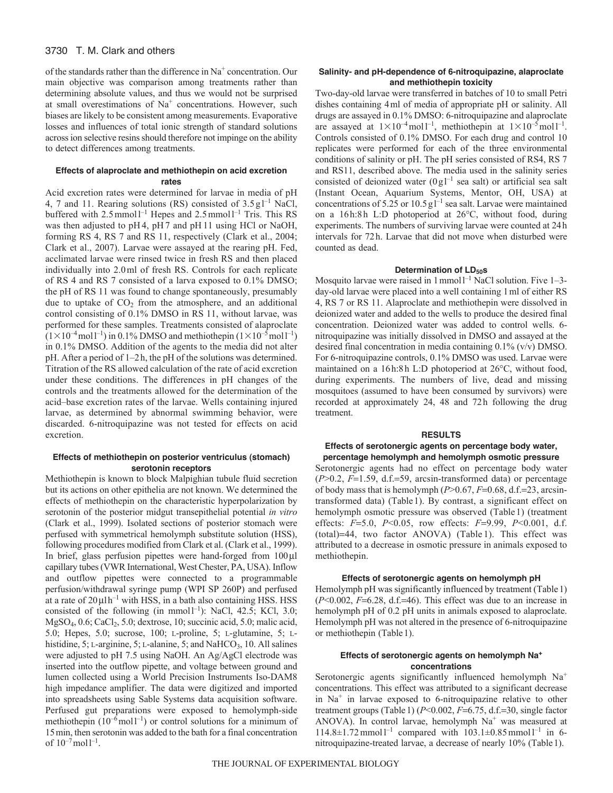# 3730 T. M. Clark and others

of the standards rather than the difference in  $Na<sup>+</sup>$  concentration. Our main objective was comparison among treatments rather than determining absolute values, and thus we would not be surprised at small overestimations of  $Na<sup>+</sup>$  concentrations. However, such biases are likely to be consistent among measurements. Evaporative losses and influences of total ionic strength of standard solutions across ion selective resins should therefore not impinge on the ability to detect differences among treatments.

# **Effects of alaproclate and methiothepin on acid excretion rates**

Acid excretion rates were determined for larvae in media of pH 4, 7 and 11. Rearing solutions (RS) consisted of  $3.5 \text{ g}$ <sup>1-1</sup> NaCl, buffered with  $2.5 \text{mmol}^{-1}$  Hepes and  $2.5 \text{mmol}^{-1}$  Tris. This RS was then adjusted to pH 4, pH 7 and pH 11 using HCl or NaOH, forming RS 4, RS 7 and RS 11, respectively (Clark et al., 2004; Clark et al., 2007). Larvae were assayed at the rearing pH. Fed, acclimated larvae were rinsed twice in fresh RS and then placed individually into 2.0ml of fresh RS. Controls for each replicate of RS 4 and RS 7 consisted of a larva exposed to 0.1% DMSO; the pH of RS 11 was found to change spontaneously, presumably due to uptake of  $CO<sub>2</sub>$  from the atmosphere, and an additional control consisting of 0.1% DMSO in RS 11, without larvae, was performed for these samples. Treatments consisted of alaproclate  $(1 \times 10^{-4} \text{mol l}^{-1})$  in 0.1% DMSO and methiothepin  $(1 \times 10^{-5} \text{mol l}^{-1})$ in 0.1% DMSO. Addition of the agents to the media did not alter pH. After a period of 1–2h, the pH of the solutions was determined. Titration of the RS allowed calculation of the rate of acid excretion under these conditions. The differences in pH changes of the controls and the treatments allowed for the determination of the acid–base excretion rates of the larvae. Wells containing injured larvae, as determined by abnormal swimming behavior, were discarded. 6-nitroquipazine was not tested for effects on acid excretion.

## **Effects of methiothepin on posterior ventriculus (stomach) serotonin receptors**

Methiothepin is known to block Malpighian tubule fluid secretion but its actions on other epithelia are not known. We determined the effects of methiothepin on the characteristic hyperpolarization by serotonin of the posterior midgut transepithelial potential *in vitro* (Clark et al., 1999). Isolated sections of posterior stomach were perfused with symmetrical hemolymph substitute solution (HSS), following procedures modified from Clark et al. (Clark et al., 1999). In brief, glass perfusion pipettes were hand-forged from  $100 \mu l$ capillary tubes (VWR International, West Chester, PA, USA). Inflow and outflow pipettes were connected to a programmable perfusion/withdrawal syringe pump (WPI SP 260P) and perfused at a rate of  $20 \mu l \text{h}^{-1}$  with HSS, in a bath also containing HSS. HSS consisted of the following (in mmol<sup>1-1</sup>): NaCl, 42.5; KCl, 3.0; MgSO<sub>4</sub>, 0.6; CaCl<sub>2</sub>, 5.0; dextrose, 10; succinic acid, 5.0; malic acid, 5.0; Hepes, 5.0; sucrose, 100; L-proline, 5; L-glutamine, 5; Lhistidine,  $5$ ; L-arginine,  $5$ ; L-alanine,  $5$ ; and NaHCO<sub>3</sub>, 10. All salines were adjusted to pH 7.5 using NaOH. An Ag/AgCl electrode was inserted into the outflow pipette, and voltage between ground and lumen collected using a World Precision Instruments Iso-DAM8 high impedance amplifier. The data were digitized and imported into spreadsheets using Sable Systems data acquisition software. Perfused gut preparations were exposed to hemolymph-side methiothepin  $(10^{-6}$  moll<sup>-1</sup>) or control solutions for a minimum of 15min, then serotonin was added to the bath for a final concentration of  $10^{-7}$  mol $1^{-1}$ .

# **Salinity- and pH-dependence of 6-nitroquipazine, alaproclate and methiothepin toxicity**

Two-day-old larvae were transferred in batches of 10 to small Petri dishes containing 4ml of media of appropriate pH or salinity. All drugs are assayed in 0.1% DMSO: 6-nitroquipazine and alaproclate are assayed at  $1 \times 10^{-4}$  moll<sup>-1</sup>, methiothepin at  $1 \times 10^{-5}$  moll<sup>-1</sup>. Controls consisted of 0.1% DMSO. For each drug and control 10 replicates were performed for each of the three environmental conditions of salinity or pH. The pH series consisted of RS4, RS 7 and RS11, described above. The media used in the salinity series consisted of deionized water  $(0g)^{-1}$  sea salt) or artificial sea salt (Instant Ocean, Aquarium Systems, Mentor, OH, USA) at concentrations of 5.25 or 10.5  $g1^{-1}$  sea salt. Larvae were maintained on a 16h:8h L:D photoperiod at 26°C, without food, during experiments. The numbers of surviving larvae were counted at 24h intervals for 72h. Larvae that did not move when disturbed were counted as dead.

## **Determination of LD<sub>50</sub>s**

Mosquito larvae were raised in  $1$  mmol  $1^{-1}$  NaCl solution. Five  $1-3$ day-old larvae were placed into a well containing 1ml of either RS 4, RS 7 or RS 11. Alaproclate and methiothepin were dissolved in deionized water and added to the wells to produce the desired final concentration. Deionized water was added to control wells. 6 nitroquipazine was initially dissolved in DMSO and assayed at the desired final concentration in media containing 0.1% (v/v) DMSO. For 6-nitroquipazine controls, 0.1% DMSO was used. Larvae were maintained on a 16h:8h L:D photoperiod at 26°C, without food, during experiments. The numbers of live, dead and missing mosquitoes (assumed to have been consumed by survivors) were recorded at approximately 24, 48 and 72h following the drug treatment.

#### **RESULTS**

### **Effects of serotonergic agents on percentage body water, percentage hemolymph and hemolymph osmotic pressure**

Serotonergic agents had no effect on percentage body water  $(P>0.2, F=1.59, d.f.=59, arcsin-transformed data)$  or percentage of body mass that is hemolymph  $(P>0.67, F=0.68, d.f.=23, arcsin$ transformed data) (Table1). By contrast, a significant effect on hemolymph osmotic pressure was observed (Table 1) (treatment effects: *F*=5.0, *P*<0.05, row effects: *F*=9.99, *P*<0.001, d.f.  $(total)=44$ , two factor ANOVA) (Table 1). This effect was attributed to a decrease in osmotic pressure in animals exposed to methiothepin.

#### **Effects of serotonergic agents on hemolymph pH**

Hemolymph pH was significantly influenced by treatment (Table1)  $(P<0.002, F=6.28, d.f.=46)$ . This effect was due to an increase in hemolymph pH of 0.2 pH units in animals exposed to alaproclate. Hemolymph pH was not altered in the presence of 6-nitroquipazine or methiothepin (Table1).

## **Effects of serotonergic agents on hemolymph Na+ concentrations**

Serotonergic agents significantly influenced hemolymph Na<sup>+</sup> concentrations. This effect was attributed to a significant decrease in  $Na<sup>+</sup>$  in larvae exposed to 6-nitroquipazine relative to other treatment groups (Table 1) ( $P<0.002$ ,  $F=6.75$ , d.f.=30, single factor ANOVA). In control larvae, hemolymph  $Na<sup>+</sup>$  was measured at  $114.8 \pm 1.72$  mmol<sup>1-1</sup> compared with  $103.1 \pm 0.85$  mmol<sup>1-1</sup> in 6nitroquipazine-treated larvae, a decrease of nearly 10% (Table1).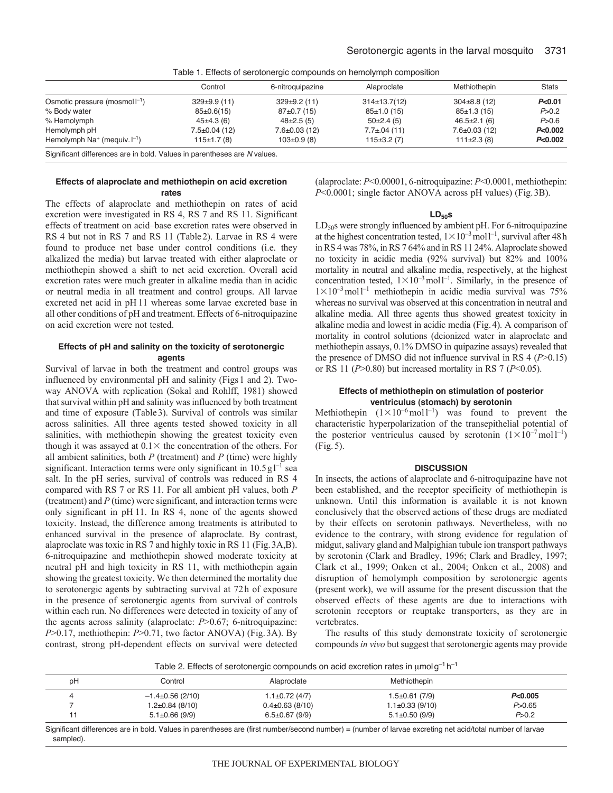|                                                                          | Control             | 6-nitroquipazine    | Alaproclate       | Methiothepin        | <b>Stats</b>       |
|--------------------------------------------------------------------------|---------------------|---------------------|-------------------|---------------------|--------------------|
| Osmotic pressure (mosmol $\vert^{-1}$ )                                  | $329 \pm 9.9$ (11)  | $329 \pm 9.2$ (11)  | $314\pm 13.7(12)$ | $304\pm8.8$ (12)    | P <sub>0.01</sub>  |
| % Body water                                                             | $85\pm0.6(15)$      | $87\pm0.7(15)$      | 85±1.0(15)        | $85\pm1.3(15)$      | P > 0.2            |
| % Hemolymph                                                              | $45\pm4.3(6)$       | $48\pm2.5(5)$       | $50\pm2.4(5)$     | $46.5 \pm 2.1$ (6)  | P > 0.6            |
| Hemolymph pH                                                             | $7.5 \pm 0.04$ (12) | $7.6 \pm 0.03$ (12) | $7.7 \pm 04(11)$  | $7.6 \pm 0.03$ (12) | P <sub>0.002</sub> |
| Hemolymph $Na^+$ (mequiv. $\Box$ )                                       | 115±1.7(8)          | $103 \pm 0.9$ (8)   | $115\pm3.2(7)$    | $111\pm2.3(8)$      | P<0.002            |
| Significant differences are in bold. Values in parentheses are N values. |                     |                     |                   |                     |                    |

Table 1. Effects of serotonergic compounds on hemolymph composition

#### **Effects of alaproclate and methiothepin on acid excretion rates**

The effects of alaproclate and methiothepin on rates of acid excretion were investigated in RS 4, RS 7 and RS 11. Significant effects of treatment on acid–base excretion rates were observed in RS 4 but not in RS 7 and RS 11 (Table2). Larvae in RS 4 were found to produce net base under control conditions (i.e. they alkalized the media) but larvae treated with either alaproclate or methiothepin showed a shift to net acid excretion. Overall acid excretion rates were much greater in alkaline media than in acidic or neutral media in all treatment and control groups. All larvae excreted net acid in pH 11 whereas some larvae excreted base in all other conditions of pH and treatment. Effects of 6-nitroquipazine on acid excretion were not tested.

# **Effects of pH and salinity on the toxicity of serotonergic agents**

Survival of larvae in both the treatment and control groups was influenced by environmental pH and salinity (Figs1 and 2). Twoway ANOVA with replication (Sokal and Rohlff, 1981) showed that survival within pH and salinity was influenced by both treatment and time of exposure (Table3). Survival of controls was similar across salinities. All three agents tested showed toxicity in all salinities, with methiothepin showing the greatest toxicity even though it was assayed at  $0.1 \times$  the concentration of the others. For all ambient salinities, both *P* (treatment) and *P* (time) were highly significant. Interaction terms were only significant in  $10.5 \text{ g}$ <sup> $-1$ </sup> sea salt. In the pH series, survival of controls was reduced in RS 4 compared with RS 7 or RS 11. For all ambient pH values, both *P* (treatment) and *P* (time) were significant, and interaction terms were only significant in pH 11. In RS 4, none of the agents showed toxicity. Instead, the difference among treatments is attributed to enhanced survival in the presence of alaproclate. By contrast, alaproclate was toxic in RS 7 and highly toxic in RS 11 (Fig.3A,B). 6-nitroquipazine and methiothepin showed moderate toxicity at neutral pH and high toxicity in RS 11, with methiothepin again showing the greatest toxicity. We then determined the mortality due to serotonergic agents by subtracting survival at 72h of exposure in the presence of serotonergic agents from survival of controls within each run. No differences were detected in toxicity of any of the agents across salinity (alaproclate: *P*>0.67; 6-nitroquipazine: *P*>0.17, methiothepin: *P*>0.71, two factor ANOVA) (Fig.3A). By contrast, strong pH-dependent effects on survival were detected (alaproclate: *P*<0.00001, 6-nitroquipazine: *P*<0.0001, methiothepin: *P*<0.0001; single factor ANOVA across pH values) (Fig.3B).

#### **LD50s**

LD<sub>50</sub>s were strongly influenced by ambient pH. For 6-nitroquipazine at the highest concentration tested,  $1 \times 10^{-3}$  moll<sup>-1</sup>, survival after 48h in RS 4 was 78%, in RS 7 64% and in RS 11 24%. Alaproclate showed no toxicity in acidic media (92% survival) but 82% and 100% mortality in neutral and alkaline media, respectively, at the highest concentration tested,  $1 \times 10^{-3}$  moll<sup>-1</sup>. Similarly, in the presence of  $1 \times 10^{-3}$  moll<sup>-1</sup> methiothepin in acidic media survival was 75% whereas no survival was observed at this concentration in neutral and alkaline media. All three agents thus showed greatest toxicity in alkaline media and lowest in acidic media (Fig.4). A comparison of mortality in control solutions (deionized water in alaproclate and methiothepin assays, 0.1% DMSO in quipazine assays) revealed that the presence of DMSO did not influence survival in RS 4 (*P*>0.15) or RS 11 (*P*>0.80) but increased mortality in RS 7 (*P*<0.05).

## **Effects of methiothepin on stimulation of posterior ventriculus (stomach) by serotonin**

Methiothepin  $(1 \times 10^{-6} \text{ mol} \text{ } 1^{-1})$  was found to prevent the characteristic hyperpolarization of the transepithelial potential of the posterior ventriculus caused by serotonin  $(1 \times 10^{-7} \text{mol}^{-1})$ (Fig.5).

#### **DISCUSSION**

In insects, the actions of alaproclate and 6-nitroquipazine have not been established, and the receptor specificity of methiothepin is unknown. Until this information is available it is not known conclusively that the observed actions of these drugs are mediated by their effects on serotonin pathways. Nevertheless, with no evidence to the contrary, with strong evidence for regulation of midgut, salivary gland and Malpighian tubule ion transport pathways by serotonin (Clark and Bradley, 1996; Clark and Bradley, 1997; Clark et al., 1999; Onken et al., 2004; Onken et al., 2008) and disruption of hemolymph composition by serotonergic agents (present work), we will assume for the present discussion that the observed effects of these agents are due to interactions with serotonin receptors or reuptake transporters, as they are in vertebrates.

The results of this study demonstrate toxicity of serotonergic compounds *in vivo* but suggest that serotonergic agents may provide

Table 2. Effects of serotonergic compounds on acid excretion rates in  $\mu$ molg<sup>-1</sup> h<sup>-1</sup>

| рH | Control               | Alaproclate          | Methiothepin          |          |
|----|-----------------------|----------------------|-----------------------|----------|
|    | $-1.4\pm0.56$ (2/10)  | $1.1 \pm 0.72$ (4/7) | $1.5\pm0.61(7/9)$     | P<0.005  |
|    | $1.2 \pm 0.84$ (8/10) | $0.4\pm0.63(8/10)$   | $1.1 \pm 0.33$ (9/10) | P > 0.65 |
|    | $5.1 \pm 0.66$ (9/9)  | $6.5 \pm 0.67$ (9/9) | $5.1 \pm 0.50$ (9/9)  | P > 0.2  |

Significant differences are in bold. Values in parentheses are (first number/second number) = (number of larvae excreting net acid/total number of larvae sampled).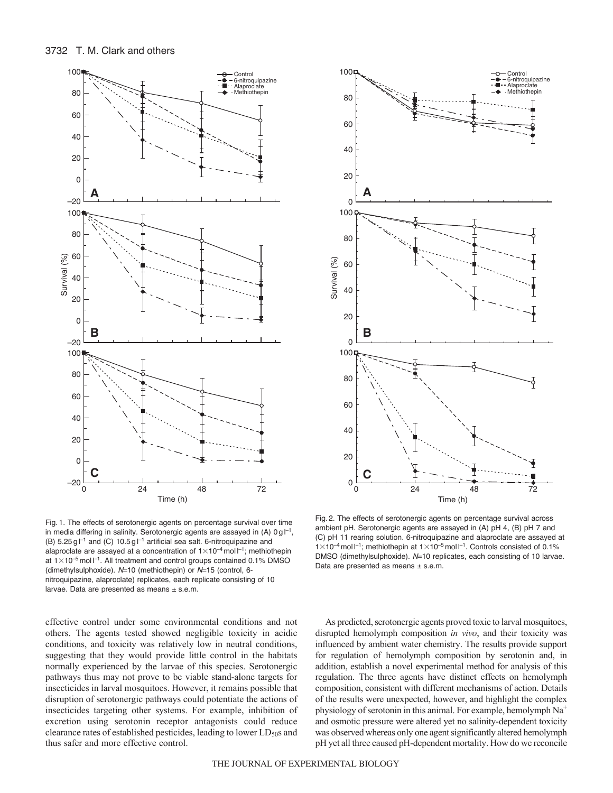



Fig. 1. The effects of serotonergic agents on percentage survival over time in media differing in salinity. Serotonergic agents are assayed in (A)  $0 g l^{-1}$ , (B)  $5.25 \text{ g}$  |<sup>-1</sup> and (C)  $10.5 \text{ g}$  |<sup>-1</sup> artificial sea salt. 6-nitroquipazine and alaproclate are assayed at a concentration of  $1 \times 10^{-4}$  mol  $1^{-1}$ ; methiothepin at  $1 \times 10^{-5}$  mol  $I^{-1}$ . All treatment and control groups contained 0.1% DMSO (dimethylsulphoxide). *N*10 (methiothepin) or *N*15 (control, 6 nitroquipazine, alaproclate) replicates, each replicate consisting of 10 larvae. Data are presented as means  $\pm$  s.e.m.

As predicted, serotonergic agents proved toxic to larval mosquitoes,

Data are presented as means  $\pm$  s.e.m.

effective control under some environmental conditions and not others. The agents tested showed negligible toxicity in acidic conditions, and toxicity was relatively low in neutral conditions, suggesting that they would provide little control in the habitats normally experienced by the larvae of this species. Serotonergic pathways thus may not prove to be viable stand-alone targets for insecticides in larval mosquitoes. However, it remains possible that disruption of serotonergic pathways could potentiate the actions of insecticides targeting other systems. For example, inhibition of excretion using serotonin receptor antagonists could reduce clearance rates of established pesticides, leading to lower  $LD_{50}$ s and thus safer and more effective control.

disrupted hemolymph composition *in vivo*, and their toxicity was influenced by ambient water chemistry. The results provide support for regulation of hemolymph composition by serotonin and, in addition, establish a novel experimental method for analysis of this regulation. The three agents have distinct effects on hemolymph composition, consistent with different mechanisms of action. Details of the results were unexpected, however, and highlight the complex physiology of serotonin in this animal. For example, hemolymph  $Na<sup>+</sup>$ and osmotic pressure were altered yet no salinity-dependent toxicity was observed whereas only one agent significantly altered hemolymph pH yet all three caused pH-dependent mortality. How do we reconcile

(C) pH 11 rearing solution. 6-nitroquipazine and alaproclate are assayed at  $1 \times 10^{-4}$  mol  $1^{-1}$ ; methiothepin at  $1 \times 10^{-5}$  mol  $1^{-1}$ . Controls consisted of 0.1% DMSO (dimethylsulphoxide). *N*=10 replicates, each consisting of 10 larvae.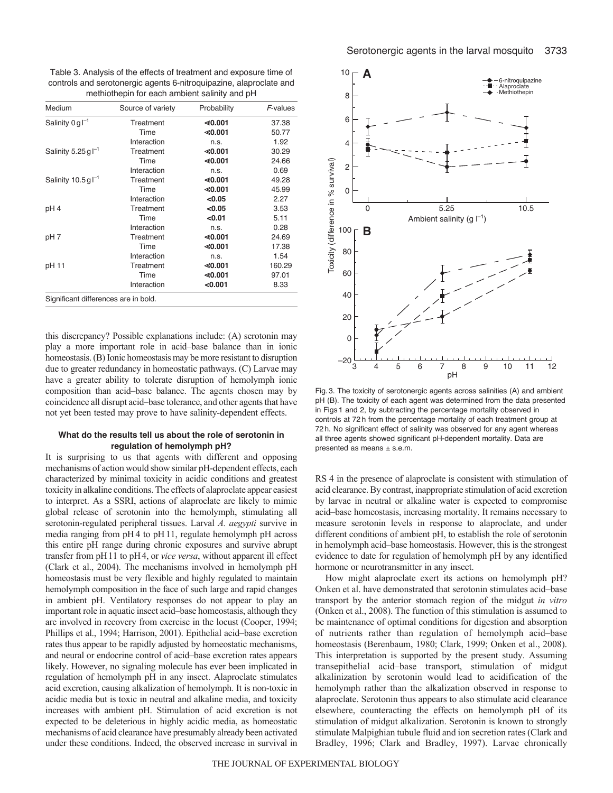Table 3. Analysis of the effects of treatment and exposure time of controls and serotonergic agents 6-nitroquipazine, alaproclate and methiothepin for each ambient salinity and pH

| Medium                                | Source of variety | Probability | F-values |
|---------------------------------------|-------------------|-------------|----------|
| Salinity $0 \text{ g}$ $^{-1}$        | Treatment         | ≤ 0.001     | 37.38    |
|                                       | Time              | ≤ 0.001     | 50.77    |
|                                       | Interaction       | n.s.        | 1.92     |
| Salinity 5.25 g $\Gamma$ <sup>1</sup> | Treatment         | $\le 0.001$ | 30.29    |
|                                       | Time              | ≤ 0.001     | 24.66    |
|                                       | Interaction       | n.s.        | 0.69     |
| Salinity $10.5$ g $l^{-1}$            | Treatment         | $\le 0.001$ | 49.28    |
|                                       | Time              | ≤ 0.001     | 45.99    |
|                                       | Interaction       | < 0.05      | 2.27     |
| pH 4                                  | Treatment         | < 0.05      | 3.53     |
|                                       | Time              | < 0.01      | 5.11     |
|                                       | Interaction       | n.s.        | 0.28     |
| pH 7                                  | Treatment         | $\le 0.001$ | 24.69    |
|                                       | Time              | ≤ 0.001     | 17.38    |
|                                       | Interaction       | n.S.        | 1.54     |
| pH 11                                 | Treatment         | ≤ 0.001     | 160.29   |
|                                       | Time              | ≤ 0.001     | 97.01    |
|                                       | Interaction       | < 0.001     | 8.33     |
| Significant differences are in bold.  |                   |             |          |

this discrepancy? Possible explanations include: (A) serotonin may play a more important role in acid–base balance than in ionic homeostasis. (B) Ionic homeostasis may be more resistant to disruption due to greater redundancy in homeostatic pathways. (C) Larvae may have a greater ability to tolerate disruption of hemolymph ionic composition than acid–base balance. The agents chosen may by coincidence all disrupt acid–base tolerance, and other agents that have not yet been tested may prove to have salinity-dependent effects.

## **What do the results tell us about the role of serotonin in regulation of hemolymph pH?**

It is surprising to us that agents with different and opposing mechanisms of action would show similar pH-dependent effects, each characterized by minimal toxicity in acidic conditions and greatest toxicity in alkaline conditions. The effects of alaproclate appear easiest to interpret. As a SSRI, actions of alaproclate are likely to mimic global release of serotonin into the hemolymph, stimulating all serotonin-regulated peripheral tissues. Larval *A. aegypti* survive in media ranging from pH 4 to pH 11, regulate hemolymph pH across this entire pH range during chronic exposures and survive abrupt transfer from pH11 to pH4, or *vice versa*, without apparent ill effect (Clark et al., 2004). The mechanisms involved in hemolymph pH homeostasis must be very flexible and highly regulated to maintain hemolymph composition in the face of such large and rapid changes in ambient pH. Ventilatory responses do not appear to play an important role in aquatic insect acid–base homeostasis, although they are involved in recovery from exercise in the locust (Cooper, 1994; Phillips et al., 1994; Harrison, 2001). Epithelial acid–base excretion rates thus appear to be rapidly adjusted by homeostatic mechanisms, and neural or endocrine control of acid–base excretion rates appears likely. However, no signaling molecule has ever been implicated in regulation of hemolymph pH in any insect. Alaproclate stimulates acid excretion, causing alkalization of hemolymph. It is non-toxic in acidic media but is toxic in neutral and alkaline media, and toxicity increases with ambient pH. Stimulation of acid excretion is not expected to be deleterious in highly acidic media, as homeostatic mechanisms of acid clearance have presumably already been activated under these conditions. Indeed, the observed increase in survival in



Fig. 3. The toxicity of serotonergic agents across salinities (A) and ambient pH (B). The toxicity of each agent was determined from the data presented in Figs 1 and 2, by subtracting the percentage mortality observed in controls at 72 h from the percentage mortality of each treatment group at 72 h. No significant effect of salinity was observed for any agent whereas all three agents showed significant pH-dependent mortality. Data are presented as means ± s.e.m.

RS 4 in the presence of alaproclate is consistent with stimulation of acid clearance. By contrast, inappropriate stimulation of acid excretion by larvae in neutral or alkaline water is expected to compromise acid–base homeostasis, increasing mortality. It remains necessary to measure serotonin levels in response to alaproclate, and under different conditions of ambient pH, to establish the role of serotonin in hemolymph acid–base homeostasis. However, this is the strongest evidence to date for regulation of hemolymph pH by any identified hormone or neurotransmitter in any insect.

How might alaproclate exert its actions on hemolymph pH? Onken et al. have demonstrated that serotonin stimulates acid–base transport by the anterior stomach region of the midgut *in vitro* (Onken et al., 2008). The function of this stimulation is assumed to be maintenance of optimal conditions for digestion and absorption of nutrients rather than regulation of hemolymph acid–base homeostasis (Berenbaum, 1980; Clark, 1999; Onken et al., 2008). This interpretation is supported by the present study. Assuming transepithelial acid–base transport, stimulation of midgut alkalinization by serotonin would lead to acidification of the hemolymph rather than the alkalization observed in response to alaproclate. Serotonin thus appears to also stimulate acid clearance elsewhere, counteracting the effects on hemolymph pH of its stimulation of midgut alkalization. Serotonin is known to strongly stimulate Malpighian tubule fluid and ion secretion rates (Clark and Bradley, 1996; Clark and Bradley, 1997). Larvae chronically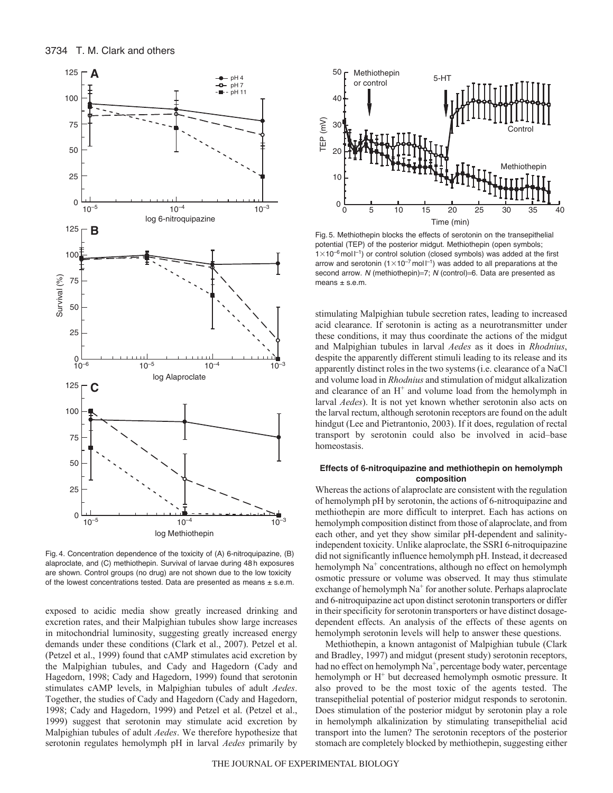

Fig. 4. Concentration dependence of the toxicity of (A) 6-nitroquipazine, (B) alaproclate, and (C) methiothepin. Survival of larvae during 48 h exposures are shown. Control groups (no drug) are not shown due to the low toxicity of the lowest concentrations tested. Data are presented as means  $\pm$  s.e.m.

exposed to acidic media show greatly increased drinking and excretion rates, and their Malpighian tubules show large increases in mitochondrial luminosity, suggesting greatly increased energy demands under these conditions (Clark et al., 2007). Petzel et al. (Petzel et al., 1999) found that cAMP stimulates acid excretion by the Malpighian tubules, and Cady and Hagedorn (Cady and Hagedorn, 1998; Cady and Hagedorn, 1999) found that serotonin stimulates cAMP levels, in Malpighian tubules of adult *Aedes*. Together, the studies of Cady and Hagedorn (Cady and Hagedorn, 1998; Cady and Hagedorn, 1999) and Petzel et al. (Petzel et al., 1999) suggest that serotonin may stimulate acid excretion by Malpighian tubules of adult *Aedes*. We therefore hypothesize that serotonin regulates hemolymph pH in larval *Aedes* primarily by



Fig. 5. Methiothepin blocks the effects of serotonin on the transepithelial potential (TEP) of the posterior midgut. Methiothepin (open symbols;  $1 \times 10^{-6}$  mol  $I^{-1}$ ) or control solution (closed symbols) was added at the first arrow and serotonin ( $1\times10^{-7}$  mol  $1^{-1}$ ) was added to all preparations at the second arrow. *N* (methiothepin)=7; *N* (control)=6. Data are presented as means  $\pm$  s.e.m.

stimulating Malpighian tubule secretion rates, leading to increased acid clearance. If serotonin is acting as a neurotransmitter under these conditions, it may thus coordinate the actions of the midgut and Malpighian tubules in larval *Aedes* as it does in *Rhodnius*, despite the apparently different stimuli leading to its release and its apparently distinct roles in the two systems (i.e. clearance of a NaCl and volume load in *Rhodnius* and stimulation of midgut alkalization and clearance of an  $H^+$  and volume load from the hemolymph in larval *Aedes*). It is not yet known whether serotonin also acts on the larval rectum, although serotonin receptors are found on the adult hindgut (Lee and Pietrantonio, 2003). If it does, regulation of rectal transport by serotonin could also be involved in acid–base homeostasis.

# **Effects of 6-nitroquipazine and methiothepin on hemolymph composition**

Whereas the actions of alaproclate are consistent with the regulation of hemolymph pH by serotonin, the actions of 6-nitroquipazine and methiothepin are more difficult to interpret. Each has actions on hemolymph composition distinct from those of alaproclate, and from each other, and yet they show similar pH-dependent and salinityindependent toxicity. Unlike alaproclate, the SSRI 6-nitroquipazine did not significantly influence hemolymph pH. Instead, it decreased hemolymph Na<sup>+</sup> concentrations, although no effect on hemolymph osmotic pressure or volume was observed. It may thus stimulate exchange of hemolymph  $Na<sup>+</sup>$  for another solute. Perhaps alaproclate and 6-nitroquipazine act upon distinct serotonin transporters or differ in their specificity for serotonin transporters or have distinct dosagedependent effects. An analysis of the effects of these agents on hemolymph serotonin levels will help to answer these questions.

Methiothepin, a known antagonist of Malpighian tubule (Clark and Bradley, 1997) and midgut (present study) serotonin receptors, had no effect on hemolymph  $Na^+$ , percentage body water, percentage hemolymph or  $H<sup>+</sup>$  but decreased hemolymph osmotic pressure. It also proved to be the most toxic of the agents tested. The transepithelial potential of posterior midgut responds to serotonin. Does stimulation of the posterior midgut by serotonin play a role in hemolymph alkalinization by stimulating transepithelial acid transport into the lumen? The serotonin receptors of the posterior stomach are completely blocked by methiothepin, suggesting either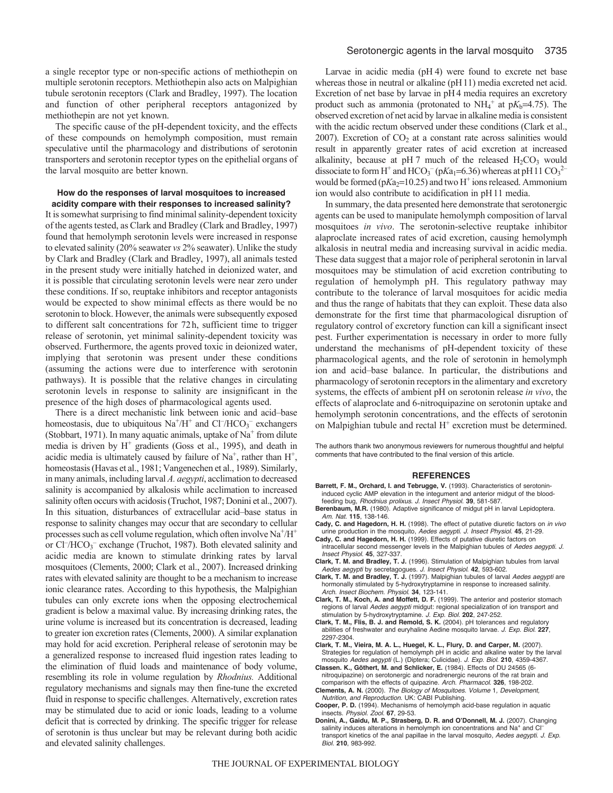a single receptor type or non-specific actions of methiothepin on multiple serotonin receptors. Methiothepin also acts on Malpighian tubule serotonin receptors (Clark and Bradley, 1997). The location and function of other peripheral receptors antagonized by methiothepin are not yet known.

The specific cause of the pH-dependent toxicity, and the effects of these compounds on hemolymph composition, must remain speculative until the pharmacology and distributions of serotonin transporters and serotonin receptor types on the epithelial organs of the larval mosquito are better known.

#### **How do the responses of larval mosquitoes to increased acidity compare with their responses to increased salinity?**

It is somewhat surprising to find minimal salinity-dependent toxicity of the agents tested, as Clark and Bradley (Clark and Bradley, 1997) found that hemolymph serotonin levels were increased in response to elevated salinity (20% seawater *vs* 2% seawater). Unlike the study by Clark and Bradley (Clark and Bradley, 1997), all animals tested in the present study were initially hatched in deionized water, and it is possible that circulating serotonin levels were near zero under these conditions. If so, reuptake inhibitors and receptor antagonists would be expected to show minimal effects as there would be no serotonin to block. However, the animals were subsequently exposed to different salt concentrations for 72h, sufficient time to trigger release of serotonin, yet minimal salinity-dependent toxicity was observed. Furthermore, the agents proved toxic in deionized water, implying that serotonin was present under these conditions (assuming the actions were due to interference with serotonin pathways). It is possible that the relative changes in circulating serotonin levels in response to salinity are insignificant in the presence of the high doses of pharmacological agents used.

There is a direct mechanistic link between ionic and acid–base homeostasis, due to ubiquitous  $Na^{+}/H^{+}$  and  $Cl^{-}/HCO_{3}^{-}$  exchangers (Stobbart, 1971). In many aquatic animals, uptake of  $Na<sup>+</sup>$  from dilute media is driven by  $H^+$  gradients (Goss et al., 1995), and death in acidic media is ultimately caused by failure of  $Na<sup>+</sup>$ , rather than  $H<sup>+</sup>$ , homeostasis (Havas et al., 1981; Vangenechen et al., 1989). Similarly, in many animals, including larval *A. aegypti*, acclimation to decreased salinity is accompanied by alkalosis while acclimation to increased salinity often occurs with acidosis (Truchot, 1987; Donini et al., 2007). In this situation, disturbances of extracellular acid–base status in response to salinity changes may occur that are secondary to cellular processes such as cell volume regulation, which often involve  $Na^+/H^+$ or Cl<sup>-</sup>/HCO<sub>3</sub><sup>-</sup> exchange (Truchot, 1987). Both elevated salinity and acidic media are known to stimulate drinking rates by larval mosquitoes (Clements, 2000; Clark et al., 2007). Increased drinking rates with elevated salinity are thought to be a mechanism to increase ionic clearance rates. According to this hypothesis, the Malpighian tubules can only excrete ions when the opposing electrochemical gradient is below a maximal value. By increasing drinking rates, the urine volume is increased but its concentration is decreased, leading to greater ion excretion rates (Clements, 2000). A similar explanation may hold for acid excretion. Peripheral release of serotonin may be a generalized response to increased fluid ingestion rates leading to the elimination of fluid loads and maintenance of body volume, resembling its role in volume regulation by *Rhodnius.* Additional regulatory mechanisms and signals may then fine-tune the excreted fluid in response to specific challenges. Alternatively, excretion rates may be stimulated due to acid or ionic loads, leading to a volume deficit that is corrected by drinking. The specific trigger for release of serotonin is thus unclear but may be relevant during both acidic and elevated salinity challenges.

Larvae in acidic media (pH 4) were found to excrete net base whereas those in neutral or alkaline (pH11) media excreted net acid. Excretion of net base by larvae in pH 4 media requires an excretory product such as ammonia (protonated to  $NH_4^+$  at  $pK_b=4.75$ ). The observed excretion of net acid by larvae in alkaline media is consistent with the acidic rectum observed under these conditions (Clark et al., 2007). Excretion of  $CO<sub>2</sub>$  at a constant rate across salinities would result in apparently greater rates of acid excretion at increased alkalinity, because at  $pH 7$  much of the released  $H_2CO_3$  would dissociate to form H<sup>+</sup> and HCO<sub>3</sub><sup>-</sup> (pKa<sub>1</sub>=6.36) whereas at pH11 CO<sub>3</sub><sup>2-</sup> would be formed ( $pKa_2=10.25$ ) and two H<sup>+</sup> ions released. Ammonium ion would also contribute to acidification in pH 11 media.

In summary, the data presented here demonstrate that serotonergic agents can be used to manipulate hemolymph composition of larval mosquitoes *in vivo*. The serotonin-selective reuptake inhibitor alaproclate increased rates of acid excretion, causing hemolymph alkalosis in neutral media and increasing survival in acidic media. These data suggest that a major role of peripheral serotonin in larval mosquitoes may be stimulation of acid excretion contributing to regulation of hemolymph pH. This regulatory pathway may contribute to the tolerance of larval mosquitoes for acidic media and thus the range of habitats that they can exploit. These data also demonstrate for the first time that pharmacological disruption of regulatory control of excretory function can kill a significant insect pest. Further experimentation is necessary in order to more fully understand the mechanisms of pH-dependent toxicity of these pharmacological agents, and the role of serotonin in hemolymph ion and acid–base balance. In particular, the distributions and pharmacology of serotonin receptors in the alimentary and excretory systems, the effects of ambient pH on serotonin release *in vivo*, the effects of alaproclate and 6-nitroquipazine on serotonin uptake and hemolymph serotonin concentrations, and the effects of serotonin on Malpighian tubule and rectal  $H^+$  excretion must be determined.

The authors thank two anonymous reviewers for numerous thoughtful and helpful comments that have contributed to the final version of this article.

#### **REFERENCES**

- **Barrett, F. M., Orchard, I. and Tebrugge, V.** (1993). Characteristics of serotonininduced cyclic AMP elevation in the integument and anterior midgut of the bloodfeeding bug, *Rhodnius prolixus*. *J. Insect Physiol*. **39**, 581-587.
- **Berenbaum, M.R.** (1980). Adaptive significance of midgut pH in larval Lepidoptera. *Am. Nat*. **115**, 138-146.
- **Cady, C. and Hagedorn, H. H.** (1998). The effect of putative diuretic factors on *in vivo* urine production in the mosquito, *Aedes aegypti*. *J. Insect Physiol*. **45**, 21-29.
- **Cady, C. and Hagedorn, H. H.** (1999). Effects of putative diuretic factors on intracellular second messenger levels in the Malpighian tubules of *Aedes aegypti*. *J. Insect Physiol*. **45**, 327-337.
- **Clark, T. M. and Bradley, T. J.** (1996). Stimulation of Malpighian tubules from larval *Aedes aegypti* by secretagogues. *J. Insect Physiol*. **42**, 593-602.
- **Clark, T. M. and Bradley, T. J.** (1997). Malpighian tubules of larval *Aedes aegypti* are hormonally stimulated by 5-hydroxytryptamine in response to increased salinity. *Arch. Insect Biochem. Physiol*. **34**, 123-141.
- **Clark, T. M., Koch, A. and Moffett, D. F.** (1999). The anterior and posterior stomach regions of larval *Aedes aegypti* midgut: regional specialization of ion transport and stimulation by 5-hydroxytryptamine. *J. Exp. Biol.* **202**, 247-252.
- **Clark, T. M., Flis, B. J. and Remold, S. K.** (2004). pH tolerances and regulatory abilities of freshwater and euryhaline Aedine mosquito larvae. *J. Exp. Biol.* **227**, 2297-2304.
- **Clark, T. M., Vieira, M. A. L., Huegel, K. L., Flury, D. and Carper, M.** (2007). Strategies for regulation of hemolymph pH in acidic and alkaline water by the larval mosquito *Aedes aegypti* (L.) (Diptera; Culicidae). *J. Exp. Biol.* **210**, 4359-4367.
- **Classen. K., Göthert, M. and Schlicker, E.** (1984). Effects of DU 24565 (6 nitroquipazine) on serotonergic and noradrenergic neurons of the rat brain and
- comparison with the effects of quipazine. *Arch. Pharmacol*. **326**, 198-202. **Clements, A. N.** (2000). *The Biology of Mosquitoes. Volume* 1*, Development, Nutrition, and Reproduction*. UK: CABI Publishing.
- **Cooper, P. D.** (1994). Mechanisms of hemolymph acid-base regulation in aquatic insects. *Physiol. Zool*. **67**, 29-53.
- **Donini, A., Gaidu, M. P., Strasberg, D. R. and O'Donnell, M. J.** (2007). Changing salinity induces alterations in hemolymph ion concentrations and Na<sup>+</sup> and Cl<sup>-</sup> transport kinetics of the anal papillae in the larval mosquito, *Aedes aegypti*. *J. Exp. Biol.* **210**, 983-992.